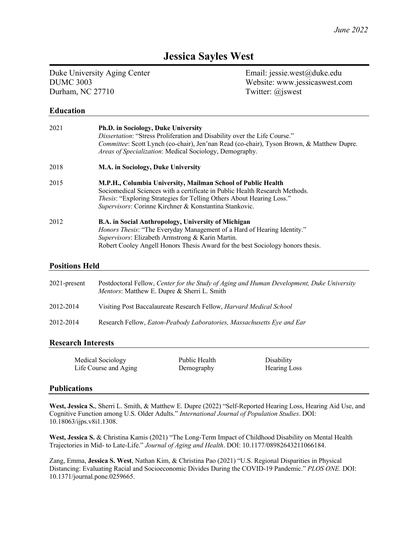# **Jessica Sayles West**

Duke University Aging Center Email: jessie.west@duke.edu Durham, NC 27710 Twitter: @jswest

DUMC 3003 Website: www.jessicaswest.com

## **Education**

| 2021 | <b>Ph.D.</b> in Sociology, Duke University<br><i>Dissertation:</i> "Stress Proliferation and Disability over the Life Course."<br>Committee: Scott Lynch (co-chair), Jen'nan Read (co-chair), Tyson Brown, & Matthew Dupre.<br><i>Areas of Specialization:</i> Medical Sociology, Demography. |
|------|-----------------------------------------------------------------------------------------------------------------------------------------------------------------------------------------------------------------------------------------------------------------------------------------------|
| 2018 | M.A. in Sociology, Duke University                                                                                                                                                                                                                                                            |
| 2015 | M.P.H., Columbia University, Mailman School of Public Health<br>Sociomedical Sciences with a certificate in Public Health Research Methods.<br><i>Thesis</i> : "Exploring Strategies for Telling Others About Hearing Loss."<br>Supervisors: Corinne Kirchner & Konstantina Stankovic.        |
| 2012 | <b>B.A.</b> in Social Anthropology, University of Michigan<br><i>Honors Thesis:</i> "The Everyday Management of a Hard of Hearing Identity."<br>Supervisors: Elizabeth Armstrong & Karin Martin.<br>Robert Cooley Angell Honors Thesis Award for the best Sociology honors thesis.            |

#### **Positions Held**

| $2021$ -present | Postdoctoral Fellow, Center for the Study of Aging and Human Development, Duke University<br><i>Mentors:</i> Matthew E. Dupre & Sherri L. Smith |
|-----------------|-------------------------------------------------------------------------------------------------------------------------------------------------|
| 2012-2014       | Visiting Post Baccalaureate Research Fellow, <i>Harvard Medical School</i>                                                                      |
| 2012-2014       | Research Fellow, Eaton-Peabody Laboratories, Massachusetts Eye and Ear                                                                          |

#### **Research Interests**

| Medical Sociology     | Public Health | Disability   |
|-----------------------|---------------|--------------|
| Life Course and Aging | Demography    | Hearing Loss |

#### **Publications**

**West, Jessica S.**, Sherri L. Smith, & Matthew E. Dupre (2022) "Self-Reported Hearing Loss, Hearing Aid Use, and Cognitive Function among U.S. Older Adults." *International Journal of Population Studies*. DOI: 10.18063/ijps.v8i1.1308.

**West, Jessica S.** & Christina Kamis (2021) "The Long-Term Impact of Childhood Disability on Mental Health Trajectories in Mid- to Late-Life." *Journal of Aging and Health*. DOI: 10.1177/08982643211066184.

Zang, Emma, **Jessica S. West**, Nathan Kim, & Christina Pao (2021) "U.S. Regional Disparities in Physical Distancing: Evaluating Racial and Socioeconomic Divides During the COVID-19 Pandemic." *PLOS ONE.* DOI: 10.1371/journal.pone.0259665.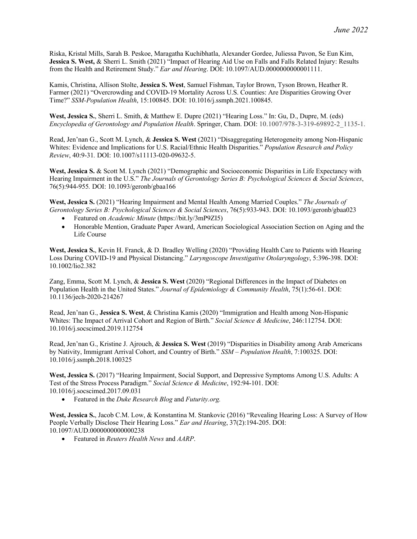Riska, Kristal Mills, Sarah B. Peskoe, Maragatha Kuchibhatla, Alexander Gordee, Juliessa Pavon, Se Eun Kim, **Jessica S. West,** & Sherri L. Smith (2021) "Impact of Hearing Aid Use on Falls and Falls Related Injury: Results from the Health and Retirement Study." *Ear and Hearing*. DOI: 10.1097/AUD.0000000000001111.

Kamis, Christina, Allison Stolte, **Jessica S. West**, Samuel Fishman, Taylor Brown, Tyson Brown, Heather R. Farmer (2021) "Overcrowding and COVID-19 Mortality Across U.S. Counties: Are Disparities Growing Over Time?" *SSM-Population Health*, 15:100845. DOI: 10.1016/j.ssmph.2021.100845.

**West, Jessica S.**, Sherri L. Smith, & Matthew E. Dupre (2021) "Hearing Loss." In: Gu, D., Dupre, M. (eds) *Encyclopedia of Gerontology and Population Health*. Springer, Cham. DOI: 10.1007/978-3-319-69892-2\_1135-1.

Read, Jen'nan G., Scott M. Lynch, & **Jessica S. West** (2021) "Disaggregating Heterogeneity among Non-Hispanic Whites: Evidence and Implications for U.S. Racial/Ethnic Health Disparities." *Population Research and Policy Review*, 40:9-31*.* DOI: 10.1007/s11113-020-09632-5.

**West, Jessica S.** & Scott M. Lynch (2021) "Demographic and Socioeconomic Disparities in Life Expectancy with Hearing Impairment in the U.S." *The Journals of Gerontology Series B: Psychological Sciences & Social Sciences*, 76(5):944-955*.* DOI: 10.1093/geronb/gbaa166

**West, Jessica S.** (2021) "Hearing Impairment and Mental Health Among Married Couples." *The Journals of Gerontology Series B: Psychological Sciences & Social Sciences*, 76(5):933-943. DOI: 10.1093/geronb/gbaa023

- Featured on *Academic Minute* (https://bit.ly/3mP9ZI5)
- Honorable Mention, Graduate Paper Award, American Sociological Association Section on Aging and the Life Course

**West, Jessica S.**, Kevin H. Franck, & D. Bradley Welling (2020) "Providing Health Care to Patients with Hearing Loss During COVID-19 and Physical Distancing." *Laryngoscope Investigative Otolaryngology*, 5:396-398. DOI: 10.1002/lio2.382

Zang, Emma, Scott M. Lynch, & **Jessica S. West** (2020) "Regional Differences in the Impact of Diabetes on Population Health in the United States." *Journal of Epidemiology & Community Health*, 75(1):56-61. DOI: 10.1136/jech-2020-214267

Read, Jen'nan G., **Jessica S. West**, & Christina Kamis (2020) "Immigration and Health among Non-Hispanic Whites: The Impact of Arrival Cohort and Region of Birth." *Social Science & Medicine*, 246:112754. DOI: 10.1016/j.socscimed.2019.112754

Read, Jen'nan G., Kristine J. Ajrouch, & **Jessica S. West** (2019) "Disparities in Disability among Arab Americans by Nativity, Immigrant Arrival Cohort, and Country of Birth." *SSM – Population Health*, 7:100325. DOI: 10.1016/j.ssmph.2018.100325

**West, Jessica S.** (2017) "Hearing Impairment, Social Support, and Depressive Symptoms Among U.S. Adults: A Test of the Stress Process Paradigm." *Social Science & Medicine*, 192:94-101. DOI: 10.1016/j.socscimed.2017.09.031

• Featured in the *Duke Research Blog* and *Futurity.org.*

**West, Jessica S.**, Jacob C.M. Low, & Konstantina M. Stankovic (2016) "Revealing Hearing Loss: A Survey of How People Verbally Disclose Their Hearing Loss." *Ear and Hearing*, 37(2):194-205. DOI: 10.1097/AUD.0000000000000238

• Featured in *Reuters Health News* and *AARP*.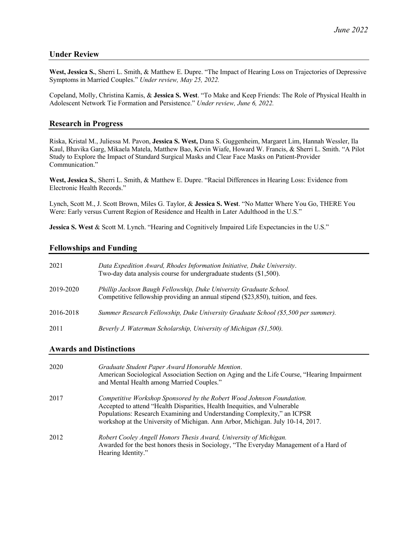## **Under Review**

**West, Jessica S.**, Sherri L. Smith, & Matthew E. Dupre. "The Impact of Hearing Loss on Trajectories of Depressive Symptoms in Married Couples." *Under review, May 25, 2022.*

Copeland, Molly, Christina Kamis, & **Jessica S. West**. "To Make and Keep Friends: The Role of Physical Health in Adolescent Network Tie Formation and Persistence." *Under review, June 6, 2022.*

# **Research in Progress**

Riska, Kristal M., Juliessa M. Pavon, **Jessica S. West,** Dana S. Guggenheim, Margaret Lim, Hannah Wessler, Ila Kaul, Bhavika Garg, Mikaela Matela, Matthew Bao, Kevin Wiafe, Howard W. Francis, & Sherri L. Smith. "A Pilot Study to Explore the Impact of Standard Surgical Masks and Clear Face Masks on Patient-Provider Communication."

**West, Jessica S.**, Sherri L. Smith, & Matthew E. Dupre. "Racial Differences in Hearing Loss: Evidence from Electronic Health Records."

Lynch, Scott M., J. Scott Brown, Miles G. Taylor, & **Jessica S. West**. "No Matter Where You Go, THERE You Were: Early versus Current Region of Residence and Health in Later Adulthood in the U.S."

**Jessica S. West** & Scott M. Lynch. "Hearing and Cognitively Impaired Life Expectancies in the U.S."

# **Fellowships and Funding**

| 2021      | Data Expedition Award, Rhodes Information Initiative, Duke University.<br>Two-day data analysis course for undergraduate students (\$1,500).            |
|-----------|---------------------------------------------------------------------------------------------------------------------------------------------------------|
| 2019-2020 | Phillip Jackson Baugh Fellowship, Duke University Graduate School.<br>Competitive fellowship providing an annual stipend (\$23,850), tuition, and fees. |
| 2016-2018 | Summer Research Fellowship, Duke University Graduate School (\$5,500 per summer).                                                                       |
| 2011      | Beverly J. Waterman Scholarship, University of Michigan (\$1,500).                                                                                      |

### **Awards and Distinctions**

| 2020 | Graduate Student Paper Award Honorable Mention.<br>American Sociological Association Section on Aging and the Life Course, "Hearing Impairment"<br>and Mental Health among Married Couples."                                                                                                                    |
|------|-----------------------------------------------------------------------------------------------------------------------------------------------------------------------------------------------------------------------------------------------------------------------------------------------------------------|
| 2017 | Competitive Workshop Sponsored by the Robert Wood Johnson Foundation.<br>Accepted to attend "Health Disparities, Health Inequities, and Vulnerable<br>Populations: Research Examining and Understanding Complexity," an ICPSR<br>workshop at the University of Michigan. Ann Arbor, Michigan. July 10-14, 2017. |
| 2012 | Robert Cooley Angell Honors Thesis Award, University of Michigan.<br>Awarded for the best honors thesis in Sociology, "The Everyday Management of a Hard of<br>Hearing Identity."                                                                                                                               |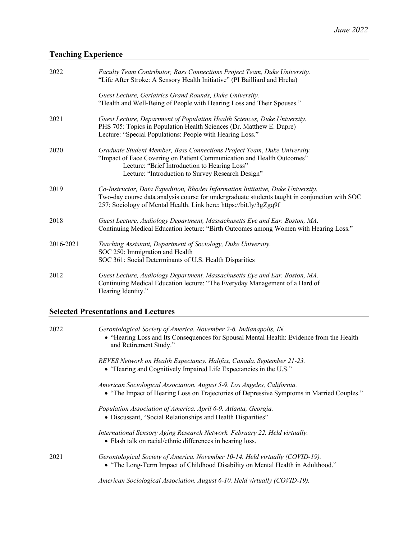# **Teaching Experience**

| 2022      | Faculty Team Contributor, Bass Connections Project Team, Duke University.<br>"Life After Stroke: A Sensory Health Initiative" (PI Bailliard and Hreha)                                                                                                   |
|-----------|----------------------------------------------------------------------------------------------------------------------------------------------------------------------------------------------------------------------------------------------------------|
|           | Guest Lecture, Geriatrics Grand Rounds, Duke University.<br>"Health and Well-Being of People with Hearing Loss and Their Spouses."                                                                                                                       |
| 2021      | Guest Lecture, Department of Population Health Sciences, Duke University.<br>PHS 705: Topics in Population Health Sciences (Dr. Matthew E. Dupre)<br>Lecture: "Special Populations: People with Hearing Loss."                                           |
| 2020      | Graduate Student Member, Bass Connections Project Team, Duke University.<br>"Impact of Face Covering on Patient Communication and Health Outcomes"<br>Lecture: "Brief Introduction to Hearing Loss"<br>Lecture: "Introduction to Survey Research Design" |
| 2019      | Co-Instructor, Data Expedition, Rhodes Information Initiative, Duke University.<br>Two-day course data analysis course for undergraduate students taught in conjunction with SOC<br>257: Sociology of Mental Health. Link here: https://bit.ly/3gZgq9f   |
| 2018      | Guest Lecture, Audiology Department, Massachusetts Eye and Ear. Boston, MA.<br>Continuing Medical Education lecture: "Birth Outcomes among Women with Hearing Loss."                                                                                     |
| 2016-2021 | Teaching Assistant, Department of Sociology, Duke University.<br>SOC 250: Immigration and Health<br>SOC 361: Social Determinants of U.S. Health Disparities                                                                                              |
| 2012      | Guest Lecture, Audiology Department, Massachusetts Eye and Ear. Boston, MA.<br>Continuing Medical Education lecture: "The Everyday Management of a Hard of<br>Hearing Identity."                                                                         |

# **Selected Presentations and Lectures**

| 2022 | Gerontological Society of America. November 2-6. Indianapolis, IN.<br>• "Hearing Loss and Its Consequences for Spousal Mental Health: Evidence from the Health<br>and Retirement Study." |
|------|------------------------------------------------------------------------------------------------------------------------------------------------------------------------------------------|
|      | REVES Network on Health Expectancy. Halifax, Canada. September 21-23.<br>• "Hearing and Cognitively Impaired Life Expectancies in the U.S."                                              |
|      | American Sociological Association. August 5-9. Los Angeles, California.<br>• "The Impact of Hearing Loss on Trajectories of Depressive Symptoms in Married Couples."                     |
|      | Population Association of America. April 6-9. Atlanta, Georgia.<br>· Discussant, "Social Relationships and Health Disparities"                                                           |
|      | International Sensory Aging Research Network. February 22. Held virtually.<br>• Flash talk on racial/ethnic differences in hearing loss.                                                 |
| 2021 | Gerontological Society of America. November 10-14. Held virtually (COVID-19).<br>• "The Long-Term Impact of Childhood Disability on Mental Health in Adulthood."                         |

*American Sociological Association. August 6-10. Held virtually (COVID-19).*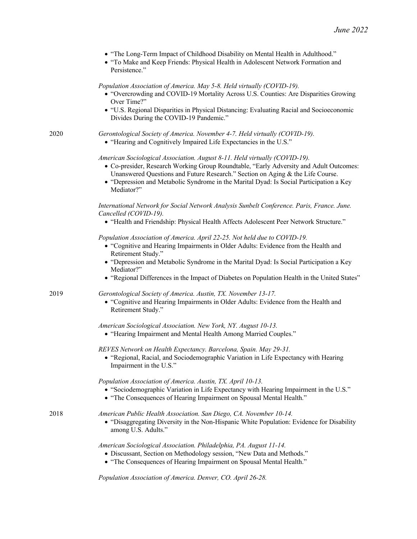|      | • "The Long-Term Impact of Childhood Disability on Mental Health in Adulthood."<br>• "To Make and Keep Friends: Physical Health in Adolescent Network Formation and<br>Persistence."                                                                                                                                                                            |
|------|-----------------------------------------------------------------------------------------------------------------------------------------------------------------------------------------------------------------------------------------------------------------------------------------------------------------------------------------------------------------|
|      | Population Association of America. May 5-8. Held virtually (COVID-19).<br>• "Overcrowding and COVID-19 Mortality Across U.S. Counties: Are Disparities Growing<br>Over Time?"                                                                                                                                                                                   |
|      | • "U.S. Regional Disparities in Physical Distancing: Evaluating Racial and Socioeconomic<br>Divides During the COVID-19 Pandemic."                                                                                                                                                                                                                              |
| 2020 | Gerontological Society of America. November 4-7. Held virtually (COVID-19).<br>• "Hearing and Cognitively Impaired Life Expectancies in the U.S."                                                                                                                                                                                                               |
|      | American Sociological Association. August 8-11. Held virtually (COVID-19).<br>• Co-presider, Research Working Group Roundtable, "Early Adversity and Adult Outcomes:<br>Unanswered Questions and Future Research." Section on Aging & the Life Course.<br>• "Depression and Metabolic Syndrome in the Marital Dyad: Is Social Participation a Key<br>Mediator?" |
|      | International Network for Social Network Analysis Sunbelt Conference. Paris, France. June.<br>Cancelled (COVID-19).<br>• "Health and Friendship: Physical Health Affects Adolescent Peer Network Structure."                                                                                                                                                    |
|      | Population Association of America. April 22-25. Not held due to COVID-19.<br>• "Cognitive and Hearing Impairments in Older Adults: Evidence from the Health and<br>Retirement Study."<br>• "Depression and Metabolic Syndrome in the Marital Dyad: Is Social Participation a Key<br>Mediator?"                                                                  |
|      | • "Regional Differences in the Impact of Diabetes on Population Health in the United States"                                                                                                                                                                                                                                                                    |
| 2019 | Gerontological Society of America. Austin, TX. November 13-17.<br>• "Cognitive and Hearing Impairments in Older Adults: Evidence from the Health and<br>Retirement Study."                                                                                                                                                                                      |
|      | American Sociological Association. New York, NY. August 10-13.<br>• "Hearing Impairment and Mental Health Among Married Couples."                                                                                                                                                                                                                               |
|      | REVES Network on Health Expectancy. Barcelona, Spain. May 29-31.<br>• "Regional, Racial, and Sociodemographic Variation in Life Expectancy with Hearing<br>Impairment in the U.S."                                                                                                                                                                              |
|      | Population Association of America. Austin, TX. April 10-13.<br>• "Sociodemographic Variation in Life Expectancy with Hearing Impairment in the U.S."<br>• "The Consequences of Hearing Impairment on Spousal Mental Health."                                                                                                                                    |
| 2018 | American Public Health Association. San Diego, CA. November 10-14.<br>• "Disaggregating Diversity in the Non-Hispanic White Population: Evidence for Disability<br>among U.S. Adults."                                                                                                                                                                          |
|      | American Sociological Association. Philadelphia, PA. August 11-14.<br>· Discussant, Section on Methodology session, "New Data and Methods."<br>• "The Consequences of Hearing Impairment on Spousal Mental Health."                                                                                                                                             |
|      | Population Association of America. Denver, CO. April 26-28.                                                                                                                                                                                                                                                                                                     |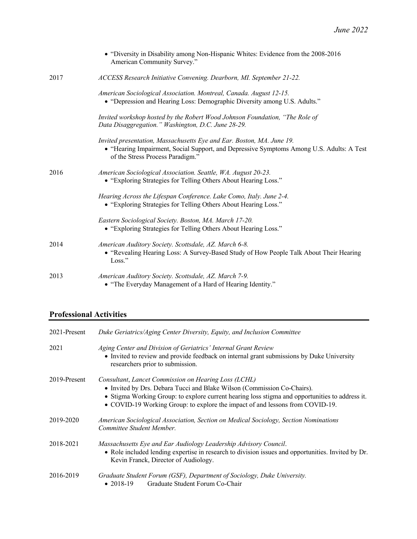|      | • "Diversity in Disability among Non-Hispanic Whites: Evidence from the 2008-2016<br>American Community Survey."                                                                                      |
|------|-------------------------------------------------------------------------------------------------------------------------------------------------------------------------------------------------------|
| 2017 | ACCESS Research Initiative Convening. Dearborn, MI. September 21-22.                                                                                                                                  |
|      | American Sociological Association. Montreal, Canada. August 12-15.<br>• "Depression and Hearing Loss: Demographic Diversity among U.S. Adults."                                                       |
|      | Invited workshop hosted by the Robert Wood Johnson Foundation, "The Role of<br>Data Disaggregation." Washington, D.C. June 28-29.                                                                     |
|      | Invited presentation, Massachusetts Eye and Ear. Boston, MA. June 19.<br>• "Hearing Impairment, Social Support, and Depressive Symptoms Among U.S. Adults: A Test<br>of the Stress Process Paradigm." |
| 2016 | American Sociological Association. Seattle, WA. August 20-23.<br>• "Exploring Strategies for Telling Others About Hearing Loss."                                                                      |
|      | Hearing Across the Lifespan Conference. Lake Como, Italy. June 2-4.<br>• "Exploring Strategies for Telling Others About Hearing Loss."                                                                |
|      | Eastern Sociological Society. Boston, MA. March 17-20.<br>• "Exploring Strategies for Telling Others About Hearing Loss."                                                                             |
| 2014 | American Auditory Society. Scottsdale, AZ. March 6-8.<br>• "Revealing Hearing Loss: A Survey-Based Study of How People Talk About Their Hearing<br>Loss."                                             |
| 2013 | American Auditory Society. Scottsdale, AZ. March 7-9.<br>• "The Everyday Management of a Hard of Hearing Identity."                                                                                   |

# **Professional Activities**

| 2021-Present | Duke Geriatrics/Aging Center Diversity, Equity, and Inclusion Committee                                                                                                                                                                                                                                             |
|--------------|---------------------------------------------------------------------------------------------------------------------------------------------------------------------------------------------------------------------------------------------------------------------------------------------------------------------|
| 2021         | Aging Center and Division of Geriatrics' Internal Grant Review<br>• Invited to review and provide feedback on internal grant submissions by Duke University<br>researchers prior to submission.                                                                                                                     |
| 2019-Present | Consultant, Lancet Commission on Hearing Loss (LCHL)<br>• Invited by Drs. Debara Tucci and Blake Wilson (Commission Co-Chairs).<br>• Stigma Working Group: to explore current hearing loss stigma and opportunities to address it.<br>• COVID-19 Working Group: to explore the impact of and lessons from COVID-19. |
| 2019-2020    | American Sociological Association, Section on Medical Sociology, Section Nominations<br>Committee Student Member.                                                                                                                                                                                                   |
| 2018-2021    | Massachusetts Eye and Ear Audiology Leadership Advisory Council.<br>• Role included lending expertise in research to division issues and opportunities. Invited by Dr.<br>Kevin Franck, Director of Audiology.                                                                                                      |
| 2016-2019    | Graduate Student Forum (GSF), Department of Sociology, Duke University.<br>Graduate Student Forum Co-Chair<br>• 2018-19                                                                                                                                                                                             |